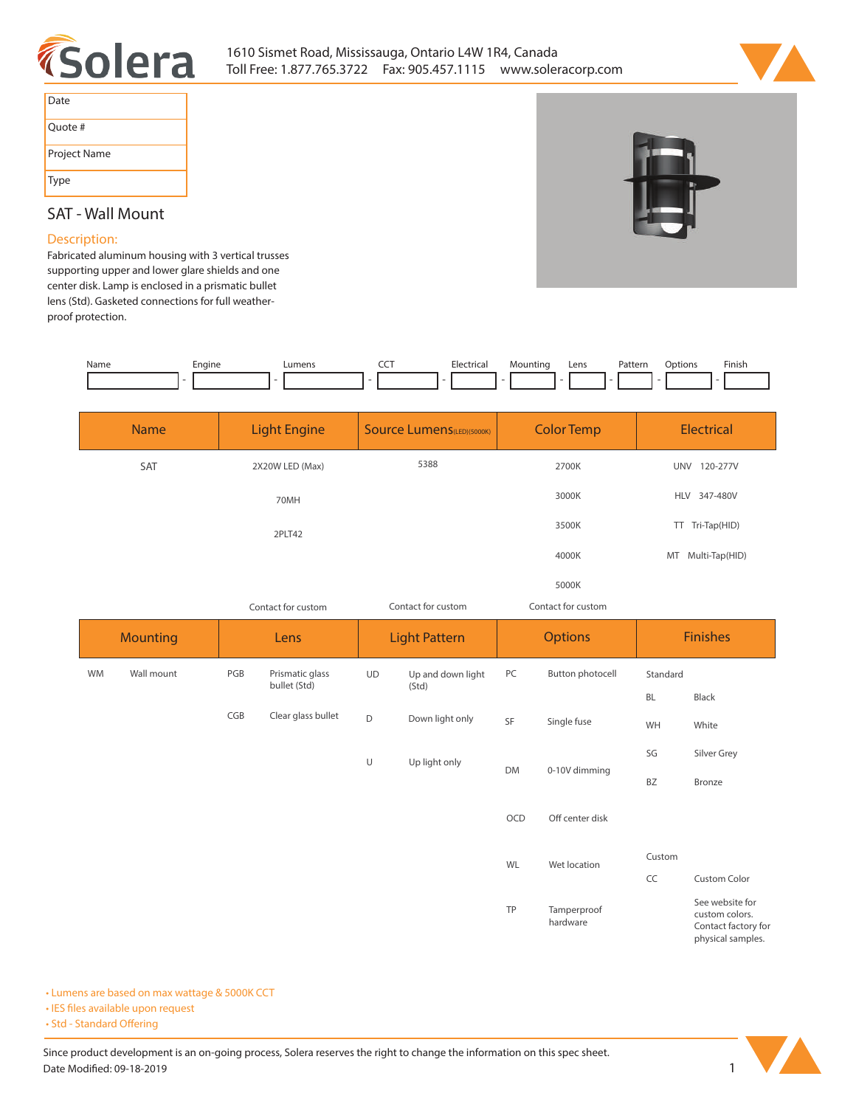



| Date         |
|--------------|
| Ouote #      |
| Project Name |
| <b>Type</b>  |

## **SAT - Wall Mount**

## **Description:**

**Fabricated aluminum housing with 3 vertical trusses supporting upper and lower glare shields and one center disk. Lamp is enclosed in a prismatic bullet lens (Std). Gasketed connections for full weatherproof protection.** 



| <b>Name</b> | <b>Light Engine</b> | <b>Source Lumens</b> (LED)(5000K) | <b>Color Temp</b>  | <b>Electrical</b>           |  |
|-------------|---------------------|-----------------------------------|--------------------|-----------------------------|--|
| SAT         | 2X20W LED (Max)     | 5388                              | 2700K              | 120-277V<br><b>UNV</b>      |  |
|             | 70MH                |                                   | 3000K              | HLV 347-480V                |  |
|             | 2PLT42              |                                   | 3500K              | TT Tri-Tap(HID)             |  |
|             |                     |                                   | 4000K              | Multi-Tap(HID)<br><b>MT</b> |  |
|             |                     |                                   | 5000K              |                             |  |
|             | Contact for custom  | Contact for custom                | Contact for custom |                             |  |

|           | <b>Mounting</b><br>Lens |     | <b>Light Pattern</b> |           | <b>Options</b>    |           | <b>Finishes</b>         |           |                                                                               |
|-----------|-------------------------|-----|----------------------|-----------|-------------------|-----------|-------------------------|-----------|-------------------------------------------------------------------------------|
| <b>WM</b> | Wall mount              | PGB | Prismatic glass      | <b>UD</b> | Up and down light | PC        | Button photocell        | Standard  |                                                                               |
|           |                         |     | bullet (Std)         | (Std)     |                   |           |                         | <b>BL</b> | Black                                                                         |
|           |                         | CGB | Clear glass bullet   | D         | Down light only   | SF        | Single fuse             | WH        | White                                                                         |
|           |                         |     |                      | $\cup$    | Up light only     |           |                         | SG        | Silver Grey                                                                   |
|           |                         |     |                      |           |                   | <b>DM</b> | 0-10V dimming           | <b>BZ</b> | Bronze                                                                        |
|           |                         |     |                      |           |                   | OCD       | Off center disk         |           |                                                                               |
|           |                         |     |                      |           |                   |           | WL<br>Wet location      | Custom    |                                                                               |
|           |                         |     |                      |           |                   |           |                         | CC        | <b>Custom Color</b>                                                           |
|           |                         |     |                      |           |                   | TP        | Tamperproof<br>hardware |           | See website for<br>custom colors.<br>Contact factory for<br>physical samples. |

**• Lumens are based on max wattage & 5000K CCT**

**• IES files available upon request** 

• Std - Standard Offering

Since product development is an on-going process, Solera reserves the right to change the information on this spec sheet. **Date Modified: 09-18-2019** 1